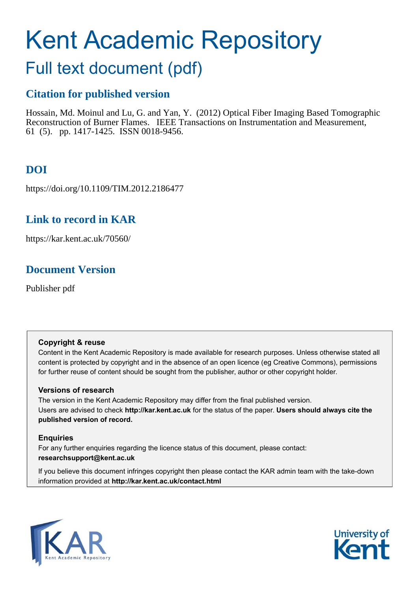# Kent Academic Repository

# Full text document (pdf)

# **Citation for published version**

Hossain, Md. Moinul and Lu, G. and Yan, Y. (2012) Optical Fiber Imaging Based Tomographic Reconstruction of Burner Flames. IEEE Transactions on Instrumentation and Measurement, 61 (5). pp. 1417-1425. ISSN 0018-9456.

# **DOI**

https://doi.org/10.1109/TIM.2012.2186477

# **Link to record in KAR**

https://kar.kent.ac.uk/70560/

# **Document Version**

Publisher pdf

## **Copyright & reuse**

Content in the Kent Academic Repository is made available for research purposes. Unless otherwise stated all content is protected by copyright and in the absence of an open licence (eg Creative Commons), permissions for further reuse of content should be sought from the publisher, author or other copyright holder.

## **Versions of research**

The version in the Kent Academic Repository may differ from the final published version. Users are advised to check **http://kar.kent.ac.uk** for the status of the paper. **Users should always cite the published version of record.**

## **Enquiries**

For any further enquiries regarding the licence status of this document, please contact: **researchsupport@kent.ac.uk**

If you believe this document infringes copyright then please contact the KAR admin team with the take-down information provided at **http://kar.kent.ac.uk/contact.html**



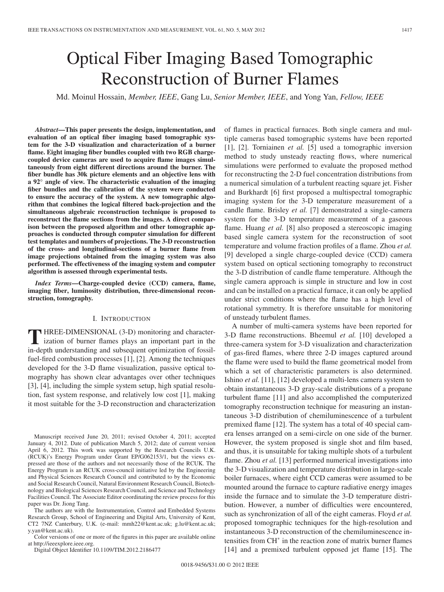# Optical Fiber Imaging Based Tomographic Reconstruction of Burner Flames

Md. Moinul Hossain, *Member, IEEE*, Gang Lu, *Senior Member, IEEE*, and Yong Yan, *Fellow, IEEE*

*Abstract***—This paper presents the design, implementation, and evaluation of an optical fiber imaging based tomographic system for the 3-D visualization and characterization of a burner flame. Eight imaging fiber bundles coupled with two RGB chargecoupled device cameras are used to acquire flame images simultaneously from eight different directions around the burner. The fiber bundle has 30k picture elements and an objective lens with a 92**◦ **angle of view. The characteristic evaluation of the imaging fiber bundles and the calibration of the system were conducted to ensure the accuracy of the system. A new tomographic algorithm that combines the logical filtered back-projection and the simultaneous algebraic reconstruction technique is proposed to reconstruct the flame sections from the images. A direct comparison between the proposed algorithm and other tomographic approaches is conducted through computer simulation for different test templates and numbers of projections. The 3-D reconstruction of the cross- and longitudinal-sections of a burner flame from image projections obtained from the imaging system was also performed. The effectiveness of the imaging system and computer algorithm is assessed through experimental tests.**

*Index Terms***—Charge-coupled device (CCD) camera, flame, imaging fiber, luminosity distribution, three-dimensional reconstruction, tomography.**

#### I. INTRODUCTION

**T** HREE-DIMENSIONAL (3-D) monitoring and characterization of burner flames plays an important part in the HREE-DIMENSIONAL (3-D) monitoring and characterin-depth understanding and subsequent optimization of fossilfuel-fired combustion processes [1], [2]. Among the techniques developed for the 3-D flame visualization, passive optical tomography has shown clear advantages over other techniques [3], [4], including the simple system setup, high spatial resolution, fast system response, and relatively low cost [1], making it most suitable for the 3-D reconstruction and characterization

Manuscript received June 20, 2011; revised October 4, 2011; accepted January 4, 2012. Date of publication March 5, 2012; date of current version April 6, 2012. This work was supported by the Research Councils U.K. (RCUK)'s Energy Program under Grant EP/G062153/1, but the views expressed are those of the authors and not necessarily those of the RCUK. The Energy Program is an RCUK cross-council initiative led by the Engineering and Physical Sciences Research Council and contributed to by the Economic and Social Research Council, Natural Environment Research Council, Biotechnology and Biological Sciences Research Council, and Science and Technology Facilities Council. The Associate Editor coordinating the review process for this paper was Dr. Jiong Tang.

The authors are with the Instrumentation, Control and Embedded Systems Research Group, School of Engineering and Digital Arts, University of Kent, CT2 7NZ Canterbury, U.K. (e-mail: mmh22@kent.ac.uk; g.lu@kent.ac.uk; y.yan@kent.ac.uk).

Color versions of one or more of the figures in this paper are available online at http://ieeexplore.ieee.org.

Digital Object Identifier 10.1109/TIM.2012.2186477

of flames in practical furnaces. Both single camera and multiple cameras based tomographic systems have been reported [1], [2]. Torniainen *et al.* [5] used a tomographic inversion method to study unsteady reacting flows, where numerical simulations were performed to evaluate the proposed method for reconstructing the 2-D fuel concentration distributions from a numerical simulation of a turbulent reacting square jet. Fisher and Burkhardt [6] first proposed a multispectral tomographic imaging system for the 3-D temperature measurement of a candle flame. Brisley *et al.* [7] demonstrated a single-camera system for the 3-D temperature measurement of a gaseous flame. Huang *et al.* [8] also proposed a stereoscopic imaging based single camera system for the reconstruction of soot temperature and volume fraction profiles of a flame. Zhou *et al.* [9] developed a single charge-coupled device (CCD) camera system based on optical sectioning tomography to reconstruct the 3-D distribution of candle flame temperature. Although the single camera approach is simple in structure and low in cost and can be installed on a practical furnace, it can only be applied under strict conditions where the flame has a high level of rotational symmetry. It is therefore unsuitable for monitoring of unsteady turbulent flames.

A number of multi-camera systems have been reported for 3-D flame reconstructions. Bheemul *et al.* [10] developed a three-camera system for 3-D visualization and characterization of gas-fired flames, where three 2-D images captured around the flame were used to build the flame geometrical model from which a set of characteristic parameters is also determined. Ishino *et al.* [11], [12] developed a multi-lens camera system to obtain instantaneous 3-D gray-scale distributions of a propane turbulent flame [11] and also accomplished the computerized tomography reconstruction technique for measuring an instantaneous 3-D distribution of chemiluminescence of a turbulent premixed flame [12]. The system has a total of 40 special camera lenses arranged on a semi-circle on one side of the burner. However, the system proposed is single shot and film based, and thus, it is unsuitable for taking multiple shots of a turbulent flame. Zhou *et al.* [13] performed numerical investigations into the 3-D visualization and temperature distribution in large-scale boiler furnaces, where eight CCD cameras were assumed to be mounted around the furnace to capture radiative energy images inside the furnace and to simulate the 3-D temperature distribution. However, a number of difficulties were encountered, such as synchronization of all of the eight cameras. Floyd *et al.* proposed tomographic techniques for the high-resolution and instantaneous 3-D reconstruction of the chemiluminescence intensities from CH<sup>∗</sup> in the reaction zone of matrix burner flames [14] and a premixed turbulent opposed jet flame [15]. The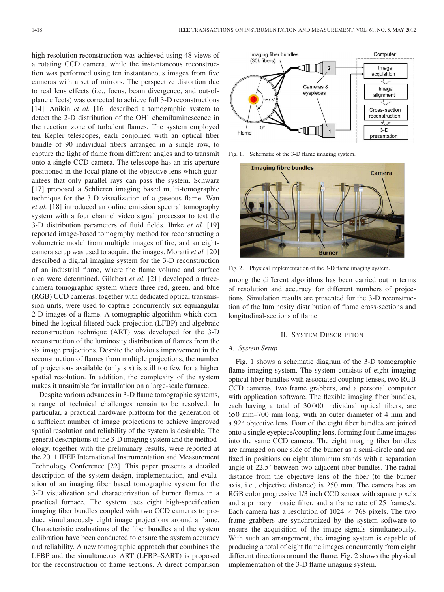high-resolution reconstruction was achieved using 48 views of a rotating CCD camera, while the instantaneous reconstruction was performed using ten instantaneous images from five cameras with a set of mirrors. The perspective distortion due to real lens effects (i.e., focus, beam divergence, and out-ofplane effects) was corrected to achieve full 3-D reconstructions [14]. Anikin *et al.* [16] described a tomographic system to detect the 2-D distribution of the OH<sup>∗</sup> chemiluminescence in the reaction zone of turbulent flames. The system employed ten Kepler telescopes, each conjoined with an optical fiber bundle of 90 individual fibers arranged in a single row, to capture the light of flame from different angles and to transmit onto a single CCD camera. The telescope has an iris aperture positioned in the focal plane of the objective lens which guarantees that only parallel rays can pass the system. Schwarz [17] proposed a Schlieren imaging based multi-tomographic technique for the 3-D visualization of a gaseous flame. Wan *et al.* [18] introduced an online emission spectral tomography system with a four channel video signal processor to test the 3-D distribution parameters of fluid fields. Ihrke *et al.* [19] reported image-based tomography method for reconstructing a volumetric model from multiple images of fire, and an eightcamera setup was used to acquire the images. Moratti *et al.* [20] described a digital imaging system for the 3-D reconstruction of an industrial flame, where the flame volume and surface area were determined. Gilabert *et al.* [21] developed a threecamera tomographic system where three red, green, and blue (RGB) CCD cameras, together with dedicated optical transmission units, were used to capture concurrently six equiangular 2-D images of a flame. A tomographic algorithm which combined the logical filtered back-projection (LFBP) and algebraic reconstruction technique (ART) was developed for the 3-D reconstruction of the luminosity distribution of flames from the six image projections. Despite the obvious improvement in the reconstruction of flames from multiple projections, the number of projections available (only six) is still too few for a higher spatial resolution. In addition, the complexity of the system makes it unsuitable for installation on a large-scale furnace.

Despite various advances in 3-D flame tomographic systems, a range of technical challenges remain to be resolved. In particular, a practical hardware platform for the generation of a sufficient number of image projections to achieve improved spatial resolution and reliability of the system is desirable. The general descriptions of the 3-D imaging system and the methodology, together with the preliminary results, were reported at the 2011 IEEE International Instrumentation and Measurement Technology Conference [22]. This paper presents a detailed description of the system design, implementation, and evaluation of an imaging fiber based tomographic system for the 3-D visualization and characterization of burner flames in a practical furnace. The system uses eight high-specification imaging fiber bundles coupled with two CCD cameras to produce simultaneously eight image projections around a flame. Characteristic evaluations of the fiber bundles and the system calibration have been conducted to ensure the system accuracy and reliability. A new tomographic approach that combines the LFBP and the simultaneous ART (LFBP–SART) is proposed for the reconstruction of flame sections. A direct comparison



Fig. 1. Schematic of the 3-D flame imaging system.



Fig. 2. Physical implementation of the 3-D flame imaging system.

among the different algorithms has been carried out in terms of resolution and accuracy for different numbers of projections. Simulation results are presented for the 3-D reconstruction of the luminosity distribution of flame cross-sections and longitudinal-sections of flame.

#### II. SYSTEM DESCRIPTION

#### *A. System Setup*

Fig. 1 shows a schematic diagram of the 3-D tomographic flame imaging system. The system consists of eight imaging optical fiber bundles with associated coupling lenses, two RGB CCD cameras, two frame grabbers, and a personal computer with application software. The flexible imaging fiber bundles, each having a total of 30 000 individual optical fibers, are 650 mm–700 mm long, with an outer diameter of 4 mm and a 92◦ objective lens. Four of the eight fiber bundles are joined onto a single eyepiece/coupling lens, forming four flame images into the same CCD camera. The eight imaging fiber bundles are arranged on one side of the burner as a semi-circle and are fixed in positions on eight aluminum stands with a separation angle of 22.5◦ between two adjacent fiber bundles. The radial distance from the objective lens of the fiber (to the burner axis, i.e., objective distance) is 250 mm. The camera has an RGB color progressive 1/3 inch CCD sensor with square pixels and a primary mosaic filter, and a frame rate of 25 frames/s. Each camera has a resolution of  $1024 \times 768$  pixels. The two frame grabbers are synchronized by the system software to ensure the acquisition of the image signals simultaneously. With such an arrangement, the imaging system is capable of producing a total of eight flame images concurrently from eight different directions around the flame. Fig. 2 shows the physical implementation of the 3-D flame imaging system.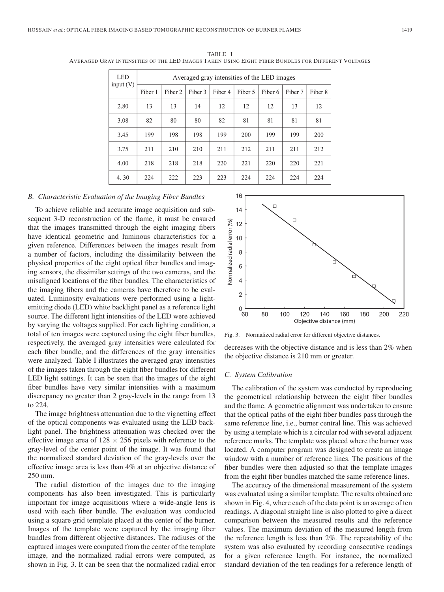| <b>LED</b><br>input $(V)$ | Averaged gray intensities of the LED images |         |         |         |         |         |         |         |  |  |
|---------------------------|---------------------------------------------|---------|---------|---------|---------|---------|---------|---------|--|--|
|                           | Fiber 1                                     | Fiber 2 | Fiber 3 | Fiber 4 | Fiber 5 | Fiber 6 | Fiber 7 | Fiber 8 |  |  |
| 2.80                      | 13                                          | 13      | 14      | 12      | 12      | 12      | 13      | 12      |  |  |
| 3.08                      | 82                                          | 80      | 80      | 82      | 81      | 81      | 81      | 81      |  |  |
| 3.45                      | 199                                         | 198     | 198     | 199     | 200     | 199     | 199     | 200     |  |  |
| 3.75                      | 211                                         | 210     | 210     | 211     | 212     | 211     | 211     | 212     |  |  |
| 4.00                      | 218                                         | 218     | 218     | 220     | 221     | 220     | 220     | 221     |  |  |
| 4.30                      | 224                                         | 222     | 223     | 223     | 224     | 224     | 224     | 224     |  |  |

TABLE I AVERAGED GRAY INTENSITIES OF THE LED IMAGES TAKEN USING EIGHT FIBER BUNDLES FOR DIFFERENT VOLTAGES

#### *B. Characteristic Evaluation of the Imaging Fiber Bundles*

To achieve reliable and accurate image acquisition and subsequent 3-D reconstruction of the flame, it must be ensured that the images transmitted through the eight imaging fibers have identical geometric and luminous characteristics for a given reference. Differences between the images result from a number of factors, including the dissimilarity between the physical properties of the eight optical fiber bundles and imaging sensors, the dissimilar settings of the two cameras, and the misaligned locations of the fiber bundles. The characteristics of the imaging fibers and the cameras have therefore to be evaluated. Luminosity evaluations were performed using a lightemitting diode (LED) white backlight panel as a reference light source. The different light intensities of the LED were achieved by varying the voltages supplied. For each lighting condition, a total of ten images were captured using the eight fiber bundles, respectively, the averaged gray intensities were calculated for each fiber bundle, and the differences of the gray intensities were analyzed. Table I illustrates the averaged gray intensities of the images taken through the eight fiber bundles for different LED light settings. It can be seen that the images of the eight fiber bundles have very similar intensities with a maximum discrepancy no greater than 2 gray-levels in the range from 13 to 224.

The image brightness attenuation due to the vignetting effect of the optical components was evaluated using the LED backlight panel. The brightness attenuation was checked over the effective image area of  $128 \times 256$  pixels with reference to the gray-level of the center point of the image. It was found that the normalized standard deviation of the gray-levels over the effective image area is less than 4% at an objective distance of 250 mm.

The radial distortion of the images due to the imaging components has also been investigated. This is particularly important for image acquisitions where a wide-angle lens is used with each fiber bundle. The evaluation was conducted using a square grid template placed at the center of the burner. Images of the template were captured by the imaging fiber bundles from different objective distances. The radiuses of the captured images were computed from the center of the template image, and the normalized radial errors were computed, as shown in Fig. 3. It can be seen that the normalized radial error



Fig. 3. Normalized radial error for different objective distances.

decreases with the objective distance and is less than 2% when the objective distance is 210 mm or greater.

#### *C. System Calibration*

The calibration of the system was conducted by reproducing the geometrical relationship between the eight fiber bundles and the flame. A geometric alignment was undertaken to ensure that the optical paths of the eight fiber bundles pass through the same reference line, i.e., burner central line. This was achieved by using a template which is a circular rod with several adjacent reference marks. The template was placed where the burner was located. A computer program was designed to create an image window with a number of reference lines. The positions of the fiber bundles were then adjusted so that the template images from the eight fiber bundles matched the same reference lines.

The accuracy of the dimensional measurement of the system was evaluated using a similar template. The results obtained are shown in Fig. 4, where each of the data point is an average of ten readings. A diagonal straight line is also plotted to give a direct comparison between the measured results and the reference values. The maximum deviation of the measured length from the reference length is less than 2%. The repeatability of the system was also evaluated by recording consecutive readings for a given reference length. For instance, the normalized standard deviation of the ten readings for a reference length of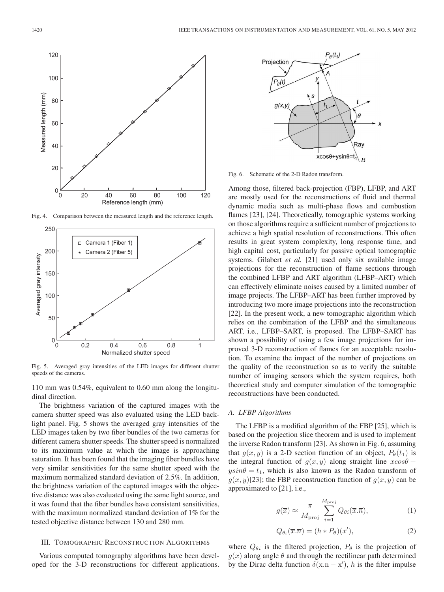

Fig. 4. Comparison between the measured length and the reference length.



Fig. 5. Averaged gray intensities of the LED images for different shutter speeds of the cameras.

110 mm was 0.54%, equivalent to 0.60 mm along the longitudinal direction.

The brightness variation of the captured images with the camera shutter speed was also evaluated using the LED backlight panel. Fig. 5 shows the averaged gray intensities of the LED images taken by two fiber bundles of the two cameras for different camera shutter speeds. The shutter speed is normalized to its maximum value at which the image is approaching saturation. It has been found that the imaging fiber bundles have very similar sensitivities for the same shutter speed with the maximum normalized standard deviation of 2.5%. In addition, the brightness variation of the captured images with the objective distance was also evaluated using the same light source, and it was found that the fiber bundles have consistent sensitivities, with the maximum normalized standard deviation of 1% for the tested objective distance between 130 and 280 mm.

#### III. TOMOGRAPHIC RECONSTRUCTION ALGORITHMS

Various computed tomography algorithms have been developed for the 3-D reconstructions for different applications.



Fig. 6. Schematic of the 2-D Radon transform.

Among those, filtered back-projection (FBP), LFBP, and ART are mostly used for the reconstructions of fluid and thermal dynamic media such as multi-phase flows and combustion flames [23], [24]. Theoretically, tomographic systems working on those algorithms require a sufficient number of projections to achieve a high spatial resolution of reconstructions. This often results in great system complexity, long response time, and high capital cost, particularly for passive optical tomographic systems. Gilabert *et al.* [21] used only six available image projections for the reconstruction of flame sections through the combined LFBP and ART algorithm (LFBP–ART) which can effectively eliminate noises caused by a limited number of image projects. The LFBP–ART has been further improved by introducing two more image projections into the reconstruction [22]. In the present work, a new tomographic algorithm which relies on the combination of the LFBP and the simultaneous ART, i.e., LFBP–SART, is proposed. The LFBP–SART has shown a possibility of using a few image projections for improved 3-D reconstruction of flames for an acceptable resolution. To examine the impact of the number of projections on the quality of the reconstruction so as to verify the suitable number of imaging sensors which the system requires, both theoretical study and computer simulation of the tomographic reconstructions have been conducted.

#### *A. LFBP Algorithms*

The LFBP is a modified algorithm of the FBP [25], which is based on the projection slice theorem and is used to implement the inverse Radon transform [23]. As shown in Fig. 6, assuming that  $g(x, y)$  is a 2-D section function of an object,  $P_{\theta}(t_1)$  is the integral function of  $g(x, y)$  along straight line  $xcos\theta$  +  $y\sin\theta = t_1$ , which is also known as the Radon transform of  $g(x, y)$ [23]; the FBP reconstruction function of  $g(x, y)$  can be approximated to [21], i.e.,

$$
g(\overline{x}) \approx \frac{\pi}{M_{\text{proj}}} \sum_{i=1}^{M_{\text{proj}}} Q_{\theta i}(\overline{x}.\overline{n}), \qquad (1)
$$

$$
Q_{\theta_i}(\overline{x}.\overline{n}) = (h * P_{\theta})(x'),\tag{2}
$$

where  $Q_{\theta i}$  is the filtered projection,  $P_{\theta}$  is the projection of  $g(\overline{x})$  along angle  $\theta$  and through the rectilinear path determined by the Dirac delta function  $\delta(\overline{x}.\overline{n} - x')$ , h is the filter impulse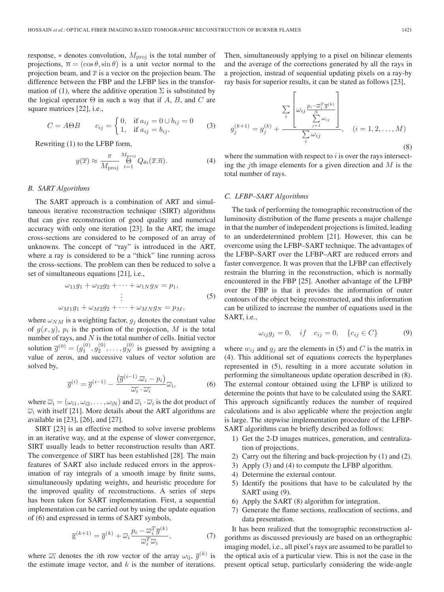response,  $*$  denotes convolution,  $M_{\text{proj}}$  is the total number of projections,  $\overline{n} = (\cos \theta, \sin \theta)$  is a unit vector normal to the projection beam, and  $\bar{x}$  is a vector on the projection beam. The difference between the FBP and the LFBP lies in the transformation of (1), where the additive operation  $\Sigma$  is substituted by the logical operator  $\Theta$  in such a way that if A, B, and C are square matrices [22], i.e.,

$$
C = A\Theta B \qquad c_{ij} = \begin{cases} 0, & \text{if } a_{ij} = 0 \cup b_{ij} = 0 \\ 1, & \text{if } a_{ij} = b_{ij}. \end{cases}
$$
 (3)

Rewriting (1) to the LFBP form,

$$
g(\overline{x}) \approx \frac{\pi}{M_{\text{proj}}} \bigoplus_{i=1}^{M_{\text{proj}}} Q_{\theta i}(\overline{x}.\overline{n}). \tag{4}
$$

#### *B. SART Algorithms*

The SART approach is a combination of ART and simultaneous iterative reconstruction technique (SIRT) algorithms that can give reconstruction of good quality and numerical accuracy with only one iteration [23]. In the ART, the image cross-sections are considered to be composed of an array of unknowns. The concept of "ray" is introduced in the ART, where a ray is considered to be a "thick" line running across the cross-sections. The problem can then be reduced to solve a set of simultaneous equations [21], i.e.,

$$
\omega_{11}g_1 + \omega_{12}g_2 + \dots + \omega_{1N}g_N = p_1,
$$
  
\n
$$
\vdots
$$
  
\n
$$
\omega_{M1}g_1 + \omega_{M2}g_2 + \dots + \omega_{MN}g_N = p_M,
$$
\n(5)

where  $\omega_{NM}$  is a weighting factor,  $g_i$  denotes the constant value of  $g(x, y)$ ,  $p_i$  is the portion of the projection, M is the total number of rays, and  $N$  is the total number of cells. Initial vector solution  $\overline{g}^{(0)} = (g_1^{(0)}, g_2^{(0)}, \dots, g_N^{(0)})$  is guessed by assigning a value of zeros, and successive values of vector solution are solved by,

$$
\overline{g}^{(i)} = \overline{g}^{(i-1)} - \frac{(\overline{g}^{(i-1)} \cdot \overline{\omega}_i - p_i)}{\overline{\omega}_i \cdot \overline{\omega}_i} \overline{\omega}_i, \tag{6}
$$

where  $\overline{\omega}_i = (\omega_{i1}, \omega_{i2}, \dots, \omega_{iN})$  and  $\overline{\omega}_i \cdot \overline{\omega}_i$  is the dot product of  $\overline{\omega}_i$  with itself [21]. More details about the ART algorithms are available in [23], [26], and [27].

SIRT [23] is an effective method to solve inverse problems in an iterative way, and at the expense of slower convergence, SIRT usually leads to better reconstruction results than ART. The convergence of SIRT has been established [28]. The main features of SART also include reduced errors in the approximation of ray integrals of a smooth image by finite sums, simultaneously updating weights, and heuristic procedure for the improved quality of reconstructions. A series of steps has been taken for SART implementation. First, a sequential implementation can be carried out by using the update equation of (6) and expressed in terms of SART symbols,

$$
\overline{\mathbf{g}}^{(k+1)} = \overline{g}^{(k)} + \overline{\omega}_i \frac{p_i - \overline{\omega}_i^T \overline{g}^{(k)}}{\overline{\omega}_i^T \overline{\omega}_i},\tag{7}
$$

where  $\overline{\omega_i}$  denotes the *i*th row vector of the array  $\omega_{ij}$ ,  $\overline{g}^{(k)}$  is the estimate image vector, and  $k$  is the number of iterations. Then, simultaneously applying to a pixel on bilinear elements and the average of the corrections generated by all the rays in a projection, instead of sequential updating pixels on a ray-by ray basis for superior results, it can be stated as follows [23],

$$
g_j^{(k+1)} = g_j^{(k)} + \frac{\sum_{i} \left[ \omega_{ij} \frac{p_i - \overline{\omega}_i^T \overline{g}^{(k)}}{\sum\limits_{j=1}^N \omega_{ij}} \right]}{\sum_{i} \omega_{ij}}, \quad (i = 1, 2, ..., M)
$$
\n(8)

where the summation with respect to  $i$  is over the rays intersecting the *j*th image elements for a given direction and  $M$  is the total number of rays.

#### *C. LFBP–SART Algorithms*

The task of performing the tomographic reconstruction of the luminosity distribution of the flame presents a major challenge in that the number of independent projections is limited, leading to an underdetermined problem [21]. However, this can be overcome using the LFBP–SART technique. The advantages of the LFBP–SART over the LFBP–ART are reduced errors and faster convergence. It was proven that the LFBP can effectively restrain the blurring in the reconstruction, which is normally encountered in the FBP [25]. Another advantage of the LFBP over the FBP is that it provides the information of outer contours of the object being reconstructed, and this information can be utilized to increase the number of equations used in the SART, i.e.,

$$
\omega_{ij}g_j = 0, \quad if \quad c_{ij} = 0, \quad \{c_{ij} \in C\} \tag{9}
$$

where  $w_{ij}$  and  $g_j$  are the elements in (5) and C is the matrix in (4). This additional set of equations corrects the hyperplanes represented in (5), resulting in a more accurate solution in performing the simultaneous update operation described in (8). The external contour obtained using the LFBP is utilized to determine the points that have to be calculated using the SART. This approach significantly reduces the number of required calculations and is also applicable where the projection angle is large. The stepwise implementation procedure of the LFBP-SART algorithms can be briefly described as follows:

- 1) Get the 2-D images matrices, generation, and centralization of projections.
- 2) Carry out the filtering and back-projection by (1) and (2).
- 3) Apply (3) and (4) to compute the LFBP algorithm.
- 4) Determine the external contour.
- 5) Identify the positions that have to be calculated by the SART using  $(9)$ .
- 6) Apply the SART (8) algorithm for integration.
- 7) Generate the flame sections, reallocation of sections, and data presentation.

It has been realized that the tomographic reconstruction algorithms as discussed previously are based on an orthographic imaging model, i.e., all pixel's rays are assumed to be parallel to the optical axis of a particular view. This is not the case in the present optical setup, particularly considering the wide-angle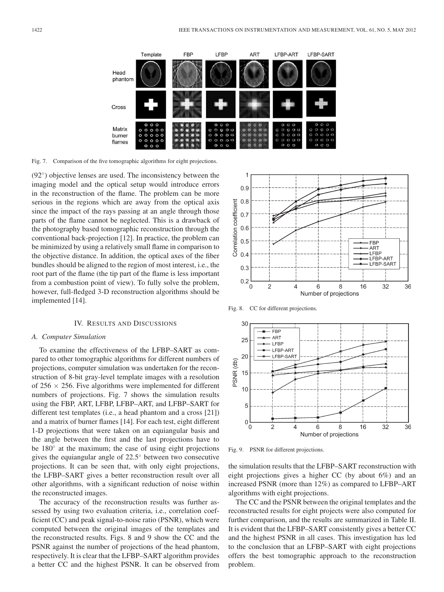

Fig. 7. Comparison of the five tomographic algorithms for eight projections.

(92◦ ) objective lenses are used. The inconsistency between the imaging model and the optical setup would introduce errors in the reconstruction of the flame. The problem can be more serious in the regions which are away from the optical axis since the impact of the rays passing at an angle through those parts of the flame cannot be neglected. This is a drawback of the photography based tomographic reconstruction through the conventional back-projection [12]. In practice, the problem can be minimized by using a relatively small flame in comparison to the objective distance. In addition, the optical axes of the fiber bundles should be aligned to the region of most interest, i.e., the root part of the flame (the tip part of the flame is less important from a combustion point of view). To fully solve the problem, however, full-fledged 3-D reconstruction algorithms should be implemented [14].

#### IV. RESULTS AND DISCUSSIONS

#### *A. Computer Simulation*

To examine the effectiveness of the LFBP–SART as compared to other tomographic algorithms for different numbers of projections, computer simulation was undertaken for the reconstruction of 8-bit gray-level template images with a resolution of  $256 \times 256$ . Five algorithms were implemented for different numbers of projections. Fig. 7 shows the simulation results using the FBP, ART, LFBP, LFBP–ART, and LFBP–SART for different test templates (i.e., a head phantom and a cross [21]) and a matrix of burner flames [14]. For each test, eight different 1-D projections that were taken on an equiangular basis and the angle between the first and the last projections have to be 180<sup>°</sup> at the maximum; the case of using eight projections gives the equiangular angle of 22.5◦ between two consecutive projections. It can be seen that, with only eight projections, the LFBP–SART gives a better reconstruction result over all other algorithms, with a significant reduction of noise within the reconstructed images.

The accuracy of the reconstruction results was further assessed by using two evaluation criteria, i.e., correlation coefficient (CC) and peak signal-to-noise ratio (PSNR), which were computed between the original images of the templates and the reconstructed results. Figs. 8 and 9 show the CC and the PSNR against the number of projections of the head phantom, respectively. It is clear that the LFBP–SART algorithm provides a better CC and the highest PSNR. It can be observed from



Fig. 8. CC for different projections.



Fig. 9. PSNR for different projections.

the simulation results that the LFBP–SART reconstruction with eight projections gives a higher CC (by about 6%) and an increased PSNR (more than 12%) as compared to LFBP–ART algorithms with eight projections.

The CC and the PSNR between the original templates and the reconstructed results for eight projects were also computed for further comparison, and the results are summarized in Table II. It is evident that the LFBP–SART consistently gives a better CC and the highest PSNR in all cases. This investigation has led to the conclusion that an LFBP–SART with eight projections offers the best tomographic approach to the reconstruction problem.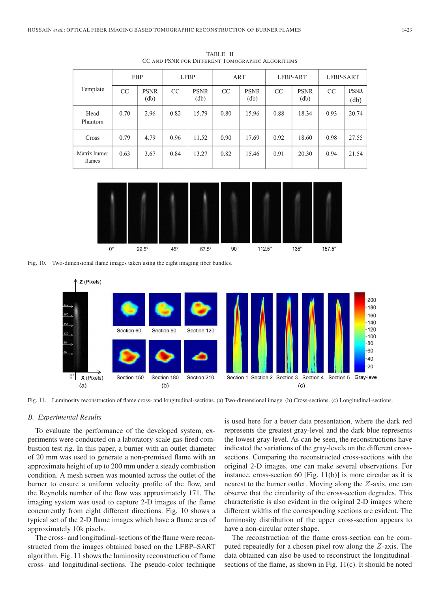| Template                | <b>FBP</b> |                     | <b>LFBP</b> |                     | ART  |                     | LFBP-ART |                     | LFBP-SART |                                                    |
|-------------------------|------------|---------------------|-------------|---------------------|------|---------------------|----------|---------------------|-----------|----------------------------------------------------|
|                         | CC         | <b>PSNR</b><br>(db) | CC          | <b>PSNR</b><br>(db) | CC   | <b>PSNR</b><br>(db) | CC       | <b>PSNR</b><br>(db) | CC        | <b>PSNR</b><br>$\left(\mathrm{d}\mathrm{b}\right)$ |
| Head<br>Phantom         | 0.70       | 2.96                | 0.82        | 15.79               | 0.80 | 15.96               | 0.88     | 18.34               | 0.93      | 20.74                                              |
| Cross                   | 0.79       | 4.79                | 0.96        | 11.52               | 0.90 | 17.69               | 0.92     | 18.60               | 0.98      | 27.55                                              |
| Matrix burner<br>flames | 0.63       | 3.67                | 0.84        | 13.27               | 0.82 | 15.46               | 0.91     | 20.30               | 0.94      | 21.54                                              |
|                         |            |                     |             |                     |      |                     |          |                     |           |                                                    |

TABLE II CC AND PSNR FOR DIFFERENT TOMOGRAPHIC ALGORITHMS



Fig. 10. Two-dimensional flame images taken using the eight imaging fiber bundles.



Fig. 11. Luminosity reconstruction of flame cross- and longitudinal-sections. (a) Two-dimensional image. (b) Cross-sections. (c) Longitudinal-sections.

#### *B. Experimental Results*

To evaluate the performance of the developed system, experiments were conducted on a laboratory-scale gas-fired combustion test rig. In this paper, a burner with an outlet diameter of 20 mm was used to generate a non-premixed flame with an approximate height of up to 200 mm under a steady combustion condition. A mesh screen was mounted across the outlet of the burner to ensure a uniform velocity profile of the flow, and the Reynolds number of the flow was approximately 171. The imaging system was used to capture 2-D images of the flame concurrently from eight different directions. Fig. 10 shows a typical set of the 2-D flame images which have a flame area of approximately 10k pixels.

The cross- and longitudinal-sections of the flame were reconstructed from the images obtained based on the LFBP–SART algorithm. Fig. 11 shows the luminosity reconstruction of flame cross- and longitudinal-sections. The pseudo-color technique

is used here for a better data presentation, where the dark red represents the greatest gray-level and the dark blue represents the lowest gray-level. As can be seen, the reconstructions have indicated the variations of the gray-levels on the different crosssections. Comparing the reconstructed cross-sections with the original 2-D images, one can make several observations. For instance, cross-section 60 [Fig. 11(b)] is more circular as it is nearest to the burner outlet. Moving along the Z-axis, one can observe that the circularity of the cross-section degrades. This characteristic is also evident in the original 2-D images where different widths of the corresponding sections are evident. The luminosity distribution of the upper cross-section appears to have a non-circular outer shape.

The reconstruction of the flame cross-section can be computed repeatedly for a chosen pixel row along the Z-axis. The data obtained can also be used to reconstruct the longitudinalsections of the flame, as shown in Fig. 11(c). It should be noted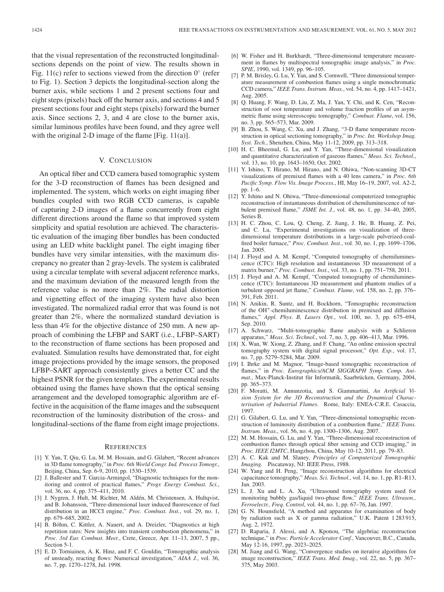that the visual representation of the reconstructed longitudinalsections depends on the point of view. The results shown in Fig. 11(c) refer to sections viewed from the direction  $0^\circ$  (refer to Fig. 1). Section 3 depicts the longitudinal-section along the burner axis, while sections 1 and 2 present sections four and eight steps (pixels) back off the burner axis, and sections 4 and 5 present sections four and eight steps (pixels) forward the burner axis. Since sections 2, 3, and 4 are close to the burner axis, similar luminous profiles have been found, and they agree well with the original 2-D image of the flame [Fig. 11(a)].

#### V. CONCLUSION

An optical fiber and CCD camera based tomographic system for the 3-D reconstruction of flames has been designed and implemented. The system, which works on eight imaging fiber bundles coupled with two RGB CCD cameras, is capable of capturing 2-D images of a flame concurrently from eight different directions around the flame so that improved system simplicity and spatial resolution are achieved. The characteristic evaluation of the imaging fiber bundles has been conducted using an LED white backlight panel. The eight imaging fiber bundles have very similar intensities, with the maximum discrepancy no greater than 2 gray-levels. The system is calibrated using a circular template with several adjacent reference marks, and the maximum deviation of the measured length from the reference value is no more than 2%. The radial distortion and vignetting effect of the imaging system have also been investigated. The normalized radial error that was found is not greater than 2%, where the normalized standard deviation is less than 4% for the objective distance of 250 mm. A new approach of combining the LFBP and SART (i.e., LFBP–SART) to the reconstruction of flame sections has been proposed and evaluated. Simulation results have demonstrated that, for eight image projections provided by the image sensors, the proposed LFBP–SART approach consistently gives a better CC and the highest PSNR for the given templates. The experimental results obtained using the flames have shown that the optical sensing arrangement and the developed tomographic algorithm are effective in the acquisition of the flame images and the subsequent reconstruction of the luminosity distribution of the cross- and longitudinal-sections of the flame from eight image projections.

#### **REFERENCES**

- [1] Y. Yan, T. Qiu, G. Lu, M. M. Hossain, and G. Gilabert, "Recent advances in 3D flame tomography," in *Proc. 6th World Congr. Ind. Process Tomogr.*, Beijing, China, Sep. 6-9, 2010, pp. 1530–1539.
- [2] J. Ballester and T. Garcia-Armingol, "Diagnostic techniques for the monitoring and control of practical flames," *Progr. Energy Combust. Sci.*, vol. 36, no. 4, pp. 375–411, 2010.
- [3] J. Nygren, J. Hult, M. Richter, M. Aldén, M. Christensen, A. Hultqvist, and B. Johansson, "Three-dimensional laser induced fluorescence of fuel distribution in an HCCI engine," *Proc. Combust. Inst.*, vol. 29, no. 1, pp. 679–685, 2002.
- [4] B. Böhm, C. Kittler, A. Nauert, and A. Dreizler, "Diagnostics at high repetition rates: New insights into transient combustion phenomena," in *Proc. 3rd Eur. Combust. Meet.*, Crete, Greece, Apr. 11–13, 2007, 5 pp., Section 5-1.
- [5] E. D. Torniainen, A. K. Hinz, and F. C. Gouldin, "Tomographic analysis of unsteady, reacting flows: Numerical investigation," *AIAA J.*, vol. 36, no. 7, pp. 1270–1278, Jul. 1998.
- [6] W. Fisher and H. Burkhardt, "Three-dimensional temperature measurement in flames by multispectral tomographic image analysis," in *Proc. SPIE*, 1990, vol. 1349, pp. 96–105.
- [7] P. M. Brisley, G. Lu, Y. Yan, and S. Cornwell, "Three dimensional temperature measurement of combustion flames using a single monochromatic CCD camera," *IEEE Trans. Instrum. Meas.*, vol. 54, no. 4, pp. 1417–1421, Aug. 2005.
- [8] Q. Huang, F. Wang, D. Liu, Z. Ma, J. Yan, Y. Chi, and K. Cen, "Reconstruction of soot temperature and volume fraction profiles of an asymmetric flame using stereoscopic tomography," *Combust. Flame*, vol. 156, no. 3, pp. 565–573, Mar. 2009.
- [9] B. Zhou, S. Wang, C. Xu, and J. Zhang, "3-D flame temperature reconstruction in optical sectioning tomography," in *Proc. Int. Workshop Imag. Syst. Tech.*, Shenzhen, China, May 11-12, 2009, pp. 313–318.
- [10] H. C. Bheemul, G. Lu, and Y. Yan, "Three-dimensional visualization and quantitative characterization of gaseous flames," *Meas. Sci. Technol.*, vol. 13, no. 10, pp. 1643–1650, Oct. 2002.
- [11] Y. Ishino, T. Hirano, M. Hirano, and N. Ohiwa, "Non-scanning 3D-CT visualizations of premixed flames with a 40 lens camera," in *Proc. 6th Pacific Symp. Flow Vis. Image Process.*, HI, May 16–19, 2007, vol. A2-2, pp. 1–6.
- [12] Y. Ishino and N. Ohiwa, "Three-dimensional computerized tomographic reconstruction of instantaneous distribution of chemiluminescence of turbulent premixed flame," *JSME Int. J.*, vol. 48, no. 1, pp. 34–40, 2005, Series B.
- [13] H. C. Zhou, C. Lou, Q. Cheng, Z. Jiang, J. He, B. Huang, Z. Pei, and C. Lu, "Experimental investigations on visualization of threedimensional temperature distributions in a large-scale pulverized-coalfired boiler furnace," *Proc. Combust. Inst.*, vol. 30, no. 1, pp. 1699–1706, Jan. 2005.
- [14] J. Floyd and A. M. Kempf, "Computed tomography of chemiluminescence (CTC): High resolution and instantaneous 3D measurement of a matrix burner," *Proc. Combust. Inst.*, vol. 33, no. 1, pp. 751–758, 2011.
- [15] J. Floyd and A. M. Kempf, "Computed tomography of chemiluminescence (CTC): Instantaneous 3D measurement and phantom studies of a turbulent opposed jet flame," *Combust. Flame*, vol. 158, no. 2, pp. 376– 391, Feb. 2011.
- [16] N. Anikin, R. Suntz, and H. Bockhorn, "Tomographic reconstruction of the OH<sup>∗</sup> -chemiluminescence distribution in premixed and diffusion flames," *Appl. Phys. B, Lasers Opt.*, vol. 100, no. 3, pp. 675–694, Sep. 2010.
- [17] A. Schwarz, "Multi-tomographic flame analysis with a Schlieren apparatus," *Meas. Sci. Technol.*, vol. 7, no. 3, pp. 406–413, Mar. 1996.
- [18] X. Wan, W. Xiong, Z. Zhang, and F. Chang, "An online emission spectral tomography system with digital signal processor," *Opt. Exp.*, vol. 17, no. 7, pp. 5279–5284, Mar. 2009.
- [19] I. Ihrke and M. Magnor, "Image-based tomographic reconstruction of flames," in *Proc. Eurographics/ACM SIGGRAPH Symp. Comp. Animat.*, Max-Planck-Institut für Informatik, Saarbrücken, Germany, 2004, pp. 365–373.
- [20] F. Moratti, M. Annunzotia, and S. Giammartini, *An Artificial Vision System for the 3D Reconstruction and the Dynamical Characterisation of Industrial Flames*. Rome, Italy: ENEA-C.R.E. Casaccia, 1997.
- [21] G. Gilabert, G. Lu, and Y. Yan, "Three-dimensional tomographic reconstruction of luminosity distribution of a combustion flame," *IEEE Trans. Instrum. Meas.*, vol. 56, no. 4, pp. 1300–1306, Aug. 2007.
- [22] M. M. Hossain, G. Lu, and Y. Yan, "Three-dimensional reconstruction of combustion flames through optical fiber sensing and CCD imaging," in *Proc. IEEE I2MTC*, Hangzhou, China, May 10-12, 2011, pp. 79–83.
- [23] A. C. Kak and M. Slaney, *Principles of Computerized Tomographic Imaging*. Piscataway, NJ: IEEE Press, 1988.
- [24] W. Yang and H. Peng, "Image reconstruction algorithms for electrical capacitance tomography," *Meas. Sci. Technol.*, vol. 14, no. 1, pp. R1–R13, Jan. 2003.
- [25] L. J. Xu and L. A. Xu, "Ultrasound tomography system used for monitoring bubbly gas/liquid two-phase flow," *IEEE Trans. Ultrason., Ferroelectr., Freq. Control*, vol. 44, no. 1, pp. 67–76, Jan. 1997.
- [26] G. N. Hounsfield, "A method and apparatus for examination of body by radiation such as X or gamma radiation," U.K. Patent 1 283 915, Aug. 2, 1972.
- [27] D. Raparia, J. Alessi, and A. Kponou, "The algebriac reconstruction technique," in *Proc. Particle Accelerator Conf.*, Vancouver, B.C., Canada, May 12-16, 1997, pp. 2023–2025.
- [28] M. Jiang and G. Wang, "Convergence studies on iterative algorithms for image reconstruction," *IEEE Trans. Med. Imag.*, vol. 22, no. 5, pp. 367– 375, May 2003.